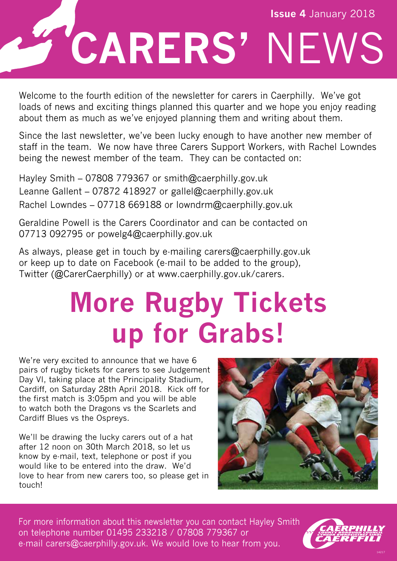

Welcome to the fourth edition of the newsletter for carers in Caerphilly. We've got loads of news and exciting things planned this quarter and we hope you enjoy reading about them as much as we've enjoyed planning them and writing about them. Ī

Since the last newsletter, we've been lucky enough to have another new member of staff in the team. We now have three Carers Support Workers, with Rachel Lowndes being the newest member of the team. They can be contacted on:

Hayley Smith – 07808 779367 or smith@caerphilly.gov.uk Leanne Gallent – 07872 418927 or gallel@caerphilly.gov.uk Rachel Lowndes – 07718 669188 or lowndrm@caerphilly.gov.uk

Geraldine Powell is the Carers Coordinator and can be contacted on 07713 092795 or powelg4@caerphilly.gov.uk

As always, please get in touch by e-mailing carers@caerphilly.gov.uk or keep up to date on Facebook (e-mail to be added to the group), Twitter (@CarerCaerphilly) or at www.caerphilly.gov.uk/carers.

### **More Rugby Tickets up for Grabs!**

We're very excited to announce that we have 6 pairs of rugby tickets for carers to see Judgement Day VI, taking place at the Principality Stadium, Cardiff, on Saturday 28th April 2018. Kick off for the first match is 3:05pm and you will be able to watch both the Dragons vs the Scarlets and Cardiff Blues vs the Ospreys.

We'll be drawing the lucky carers out of a hat after 12 noon on 30th March 2018, so let us know by e-mail, text, telephone or post if you would like to be entered into the draw. We'd love to hear from new carers too, so please get in touch!



For more information about this newsletter you can contact Hayley Smith on telephone number 01495 233218 / 07808 779367 or e-mail carers@caerphilly.gov.uk. We would love to hear from you.

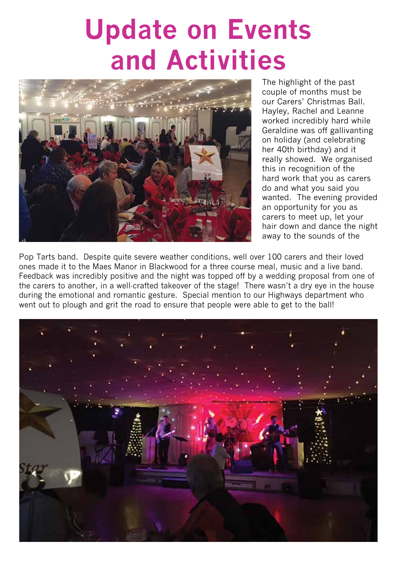### **Update on Events and Activities**



The highlight of the past couple of months must be our Carers' Christmas Ball. Hayley, Rachel and Leanne worked incredibly hard while Geraldine was off gallivanting on holiday (and celebrating her 40th birthday) and it really showed. We organised this in recognition of the hard work that you as carers do and what you said you wanted. The evening provided an opportunity for you as carers to meet up, let your hair down and dance the night away to the sounds of the

Pop Tarts band. Despite quite severe weather conditions, well over 100 carers and their loved ones made it to the Maes Manor in Blackwood for a three course meal, music and a live band. Feedback was incredibly positive and the night was topped off by a wedding proposal from one of the carers to another, in a well-crafted takeover of the stage! There wasn't a dry eye in the house during the emotional and romantic gesture. Special mention to our Highways department who went out to plough and grit the road to ensure that people were able to get to the ball!

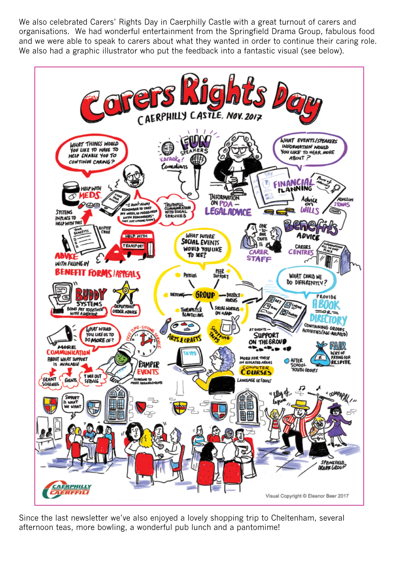We also celebrated Carers' Rights Day in Caerphilly Castle with a great turnout of carers and organisations. We had wonderful entertainment from the Springfield Drama Group, fabulous food and we were able to speak to carers about what they wanted in order to continue their caring role. We also had a graphic illustrator who put the feedback into a fantastic visual (see below).



Since the last newsletter we've also enjoyed a lovely shopping trip to Cheltenham, several afternoon teas, more bowling, a wonderful pub lunch and a pantomime!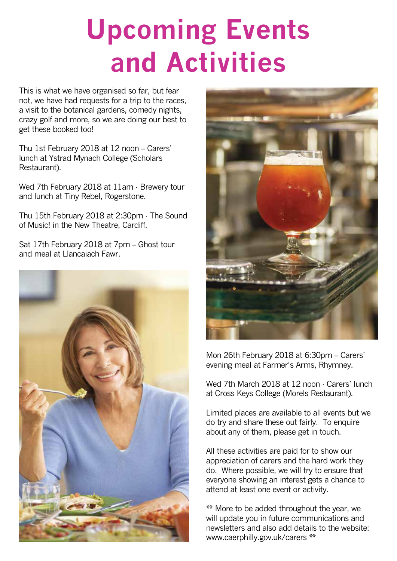## **Upcoming Events and Activities**

This is what we have organised so far, but fear not, we have had requests for a trip to the races, a visit to the botanical gardens, comedy nights, crazy golf and more, so we are doing our best to get these booked too!

Thu 1st February 2018 at 12 noon – Carers' lunch at Ystrad Mynach College (Scholars Restaurant).

Wed 7th February 2018 at 11am - Brewery tour and lunch at Tiny Rebel, Rogerstone.

Thu 15th February 2018 at 2:30pm - The Sound of Music! in the New Theatre, Cardiff.

Sat 17th February 2018 at 7pm – Ghost tour and meal at Llancaiach Fawr.





Mon 26th February 2018 at 6:30pm – Carers' evening meal at Farmer's Arms, Rhymney.

Wed 7th March 2018 at 12 noon - Carers' lunch at Cross Keys College (Morels Restaurant).

Limited places are available to all events but we do try and share these out fairly. To enquire about any of them, please get in touch.

All these activities are paid for to show our appreciation of carers and the hard work they do. Where possible, we will try to ensure that everyone showing an interest gets a chance to attend at least one event or activity.

\*\* More to be added throughout the year, we will update you in future communications and newsletters and also add details to the website: www.caerphilly.gov.uk/carers \*\*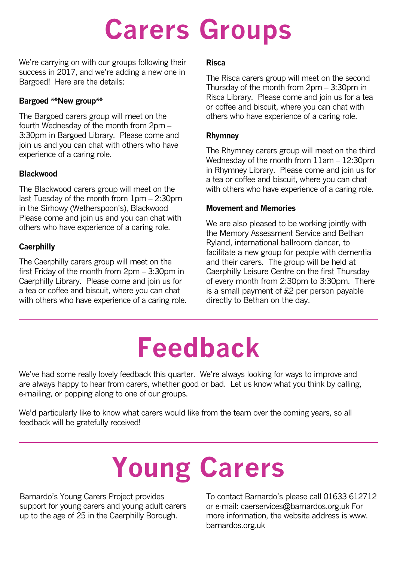## **Carers Groups**

We're carrying on with our groups following their success in 2017, and we're adding a new one in Bargoed! Here are the details:

#### **Bargoed \*\*New group\*\***

The Bargoed carers group will meet on the fourth Wednesday of the month from 2pm – 3:30pm in Bargoed Library. Please come and join us and you can chat with others who have experience of a caring role.

#### **Blackwood**

The Blackwood carers group will meet on the last Tuesday of the month from 1pm – 2:30pm in the Sirhowy (Wetherspoon's), Blackwood Please come and join us and you can chat with others who have experience of a caring role.

#### **Caerphilly**

The Caerphilly carers group will meet on the first Friday of the month from 2pm – 3:30pm in Caerphilly Library. Please come and join us for a tea or coffee and biscuit, where you can chat with others who have experience of a caring role.

#### **Risca**

The Risca carers group will meet on the second Thursday of the month from 2pm – 3:30pm in Risca Library. Please come and join us for a tea or coffee and biscuit, where you can chat with others who have experience of a caring role.

#### **Rhymney**

The Rhymney carers group will meet on the third Wednesday of the month from 11am – 12:30pm in Rhymney Library. Please come and join us for a tea or coffee and biscuit, where you can chat with others who have experience of a caring role.

#### **Movement and Memories**

We are also pleased to be working jointly with the Memory Assessment Service and Bethan Ryland, international ballroom dancer, to facilitate a new group for people with dementia and their carers. The group will be held at Caerphilly Leisure Centre on the first Thursday of every month from 2:30pm to 3:30pm. There is a small payment of £2 per person payable directly to Bethan on the day.

### **Feedback**

We've had some really lovely feedback this quarter. We're always looking for ways to improve and are always happy to hear from carers, whether good or bad. Let us know what you think by calling, e-mailing, or popping along to one of our groups.

We'd particularly like to know what carers would like from the team over the coming years, so all feedback will be gratefully received!

# **Young Carers**

Barnardo's Young Carers Project provides support for young carers and young adult carers up to the age of 25 in the Caerphilly Borough.

To contact Barnardo's please call 01633 612712 or e-mail: caerservices@barnardos.org,uk For more information, the website address is www. barnardos.org.uk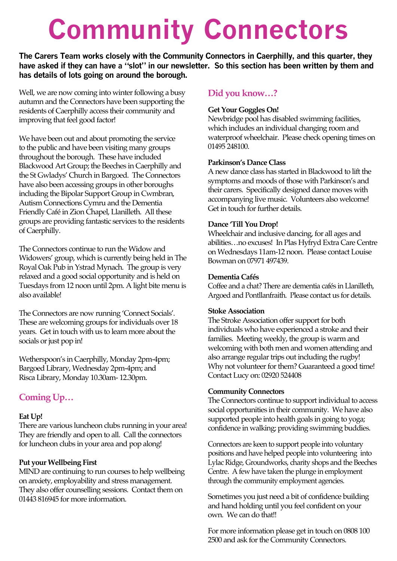## **Community Connectors**

**The Carers Team works closely with the Community Connectors in Caerphilly, and this quarter, they have asked if they can have a "slot" in our newsletter. So this section has been written by them and has details of lots going on around the borough.**

Well, we are now coming into winter following a busy autumn and the Connectors have been supporting the residents of Caerphilly access their community and improving that feel good factor!

We have been out and about promoting the service to the public and have been visiting many groups throughout the borough. These have included Blackwood Art Group; the Beeches in Caerphilly and the St Gwladys' Church in Bargoed. The Connectors have also been accessing groups in other boroughs including the Bipolar Support Group in Cwmbran, Autism Connections Cymru and the Dementia Friendly Café in Zion Chapel, Llanilleth. All these groups are providing fantastic services to the residents of Caerphilly.

The Connectors continue to run the Widow and Widowers' group, which is currently being held in The Royal Oak Pub in Ystrad Mynach. The group is very relaxed and a good social opportunity and is held on Tuesdays from 12 noon until 2pm. A light bite menu is also available!

The Connectors are now running 'Connect Socials'. These are welcoming groups for individuals over 18 years. Get in touch with us to learn more about the socials or just pop in!

Wetherspoon's in Caerphilly, Monday 2pm-4pm; Bargoed Library, Wednesday 2pm-4pm; and Risca Library, Monday 10.30am- 12.30pm.

#### **Coming Up…**

#### **Eat Up!**

There are various luncheon clubs running in your area! They are friendly and open to all. Call the connectors for luncheon clubs in your area and pop along!

#### **Put your Wellbeing First**

MIND are continuing to run courses to help wellbeing on anxiety, employability and stress management. They also offer counselling sessions. Contact them on 01443 816945 for more information.

#### **Did you know…?**

#### **Get Your Goggles On!**

Newbridge pool has disabled swimming facilities, which includes an individual changing room and waterproof wheelchair. Please check opening times on 01495 248100.

#### **Parkinson's Dance Class**

A new dance class has started in Blackwood to lift the symptoms and moods of those with Parkinson's and their carers. Specifically designed dance moves with accompanying live music. Volunteers also welcome! Get in touch for further details.

#### **Dance 'Till You Drop!**

Wheelchair and inclusive dancing, for all ages and abilities…no excuses! In Plas Hyfryd Extra Care Centre on Wednesdays 11am-12 noon. Please contact Louise Bowman on 07971 497439.

#### **Dementia Cafés**

Coffee and a chat? There are dementia cafés in Llanilleth, Argoed and Pontllanfraith. Please contact us for details.

#### **Stoke Association**

The Stroke Association offer support for both individuals who have experienced a stroke and their families. Meeting weekly, the group is warm and welcoming with both men and women attending and also arrange regular trips out including the rugby! Why not volunteer for them? Guaranteed a good time! Contact Lucy on: 02920 524408

#### **Community Connectors**

The Connectors continue to support individual to access social opportunities in their community. We have also supported people into health goals in going to yoga; confidence in walking; providing swimming buddies.

Connectors are keen to support people into voluntary positions and have helped people into volunteering into Lylac Ridge, Groundworks, charity shops and the Beeches Centre. A few have taken the plunge in employment through the community employment agencies.

Sometimes you just need a bit of confidence building and hand holding until you feel confident on your own. We can do that!!

For more information please get in touch on 0808 100 2500 and ask for the Community Connectors.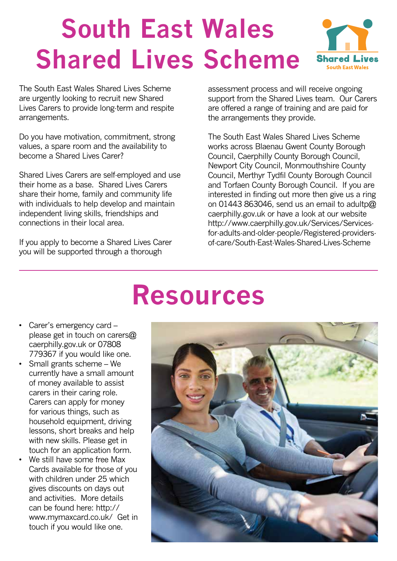### **South East Wales Shared Lives Scheme**

Shared 1 **South East Wales** 

The South East Wales Shared Lives Scheme are urgently looking to recruit new Shared Lives Carers to provide long-term and respite arrangements.

Do you have motivation, commitment, strong values, a spare room and the availability to become a Shared Lives Carer?

Shared Lives Carers are self-employed and use their home as a base. Shared Lives Carers share their home, family and community life with individuals to help develop and maintain independent living skills, friendships and connections in their local area.

If you apply to become a Shared Lives Carer you will be supported through a thorough

assessment process and will receive ongoing support from the Shared Lives team. Our Carers are offered a range of training and are paid for the arrangements they provide.

The South East Wales Shared Lives Scheme works across Blaenau Gwent County Borough Council, Caerphilly County Borough Council, Newport City Council, Monmouthshire County Council, Merthyr Tydfil County Borough Council and Torfaen County Borough Council. If you are interested in finding out more then give us a ring on 01443 863046, send us an email to adultp@ caerphilly.gov.uk or have a look at our website http://www.caerphilly.gov.uk/Services/Servicesfor-adults-and-older-people/Registered-providersof-care/South-East-Wales-Shared-Lives-Scheme

### **Resources**

- Carer's emergency card please get in touch on carers@ caerphilly.gov.uk or 07808 779367 if you would like one.
- Small grants scheme We currently have a small amount of money available to assist carers in their caring role. Carers can apply for money for various things, such as household equipment, driving lessons, short breaks and help with new skills. Please get in touch for an application form.
- We still have some free Max Cards available for those of you with children under 25 which gives discounts on days out and activities. More details can be found here: http:// www.mymaxcard.co.uk/ Get in touch if you would like one.